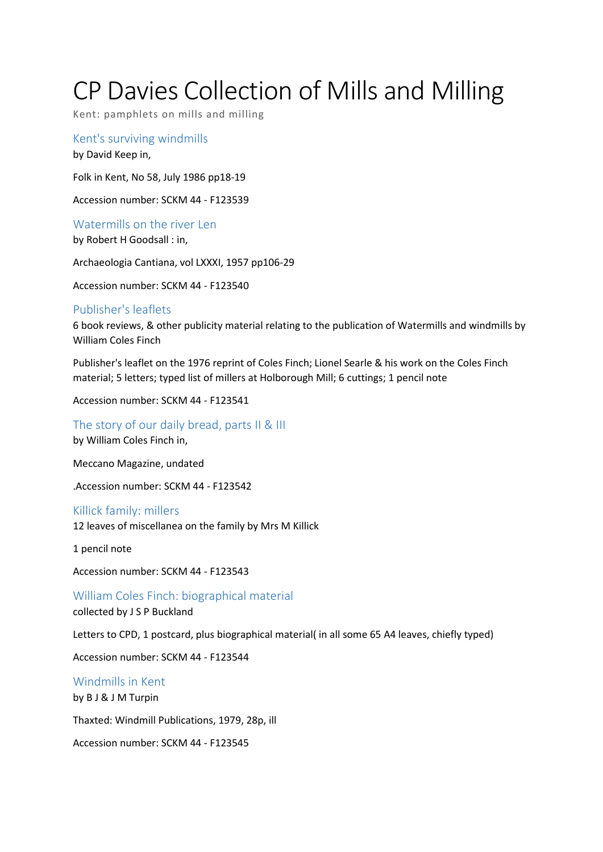# CP Davies Collection of Mills and Milling

Kent: pamphlets on mills and milling

Kent's surviving windmills by David Keep in,

Folk in Kent, No 58, July 1986 pp18-19

Accession number: SCKM 44 - F123539

Watermills on the river Len by Robert H Goodsall : in,

Archaeologia Cantiana, vol LXXXI, 1957 pp106-29

Accession number: SCKM 44 - F123540

## Publisher's leaflets

6 book reviews, & other publicity material relating to the publication of Watermills and windmills by William Coles Finch

Publisher's leaflet on the 1976 reprint of Coles Finch; Lionel Searle & his work on the Coles Finch material; 5 letters; typed list of millers at Holborough Mill; 6 cuttings; 1 pencil note

Accession number: SCKM 44 - F123541

The story of our daily bread, parts II & III by William Coles Finch in,

Meccano Magazine, undated

.Accession number: SCKM 44 - F123542

# Killick family: millers

12 leaves of miscellanea on the family by Mrs M Killick

1 pencil note

Accession number: SCKM 44 - F123543

William Coles Finch: biographical material collected by J S P Buckland

Letters to CPD, 1 postcard, plus biographical material( in all some 65 A4 leaves, chiefly typed)

Accession number: SCKM 44 - F123544

# Windmills in Kent

by B J & J M Turpin

Thaxted: Windmill Publications, 1979, 28p, ill

Accession number: SCKM 44 - F123545